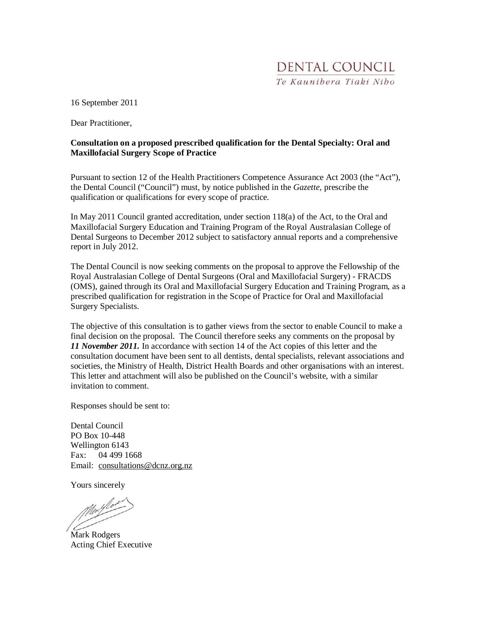16 September 2011

Dear Practitioner

#### **Consultation on a proposed prescribed qualification for the Dental Specialty: Oral and Maxillofacial Surgery Scope of Practice**

Pursuant to section 12 of the Health Practitioners Competence Assurance Act 2003 (the "Act"), the Dental Council ("Council") must, by notice published in the *Gazette,* prescribe the qualification or qualifications for every scope of practice.

In May 2011 Council granted accreditation, under section 118(a) of the Act, to the Oral and Maxillofacial Surgery Education and Training Program of the Royal Australasian College of Dental Surgeons to December 2012 subject to satisfactory annual reports and a comprehensive report in July 2012.

The Dental Council is now seeking comments on the proposal to approve the Fellowship of the Royal Australasian College of Dental Surgeons (Oral and Maxillofacial Surgery) - FRACDS (OMS), gained through its Oral and Maxillofacial Surgery Education and Training Program, as a prescribed qualification for registration in the Scope of Practice for Oral and Maxillofacial Surgery Specialists.

The objective of this consultation is to gather views from the sector to enable Council to make a final decision on the proposal. The Council therefore seeks any comments on the proposal by *11 November 2011.* In accordance with section 14 of the Act copies of this letter and the consultation document have been sent to all dentists, dental specialists, relevant associations and societies, the Ministry of Health, District Health Boards and other organisations with an interest. This letter and attachment will also be published on the Council's website, with a similar invitation to comment.

Responses should be sent to:

Dental Council PO Box 10-448 Wellington 6143 Fax: 04 499 1668 Email: consultations@dcnz.org.nz

Yours sincerely

Mullos

Mark Rodgers Acting Chief Executive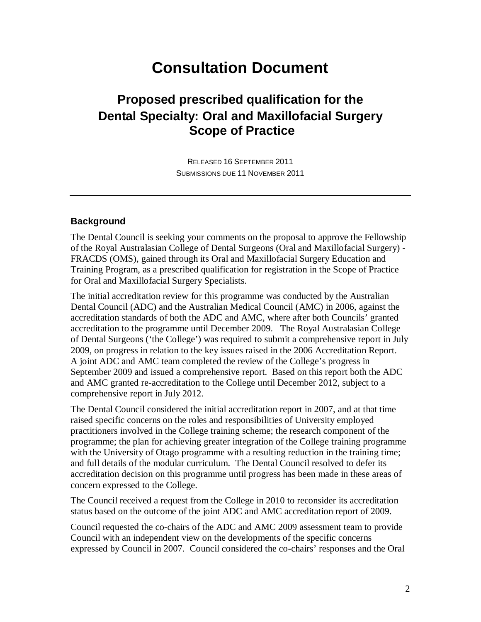# **Consultation Document**

### **Proposed prescribed qualification for the Dental Specialty: Oral and Maxillofacial Surgery Scope of Practice**

RELEASED 16 SEPTEMBER 2011 SUBMISSIONS DUE 11 NOVEMBER 2011

#### **Background**

The Dental Council is seeking your comments on the proposal to approve the Fellowship of the Royal Australasian College of Dental Surgeons (Oral and Maxillofacial Surgery) - FRACDS (OMS), gained through its Oral and Maxillofacial Surgery Education and Training Program, as a prescribed qualification for registration in the Scope of Practice for Oral and Maxillofacial Surgery Specialists.

The initial accreditation review for this programme was conducted by the Australian Dental Council (ADC) and the Australian Medical Council (AMC) in 2006, against the accreditation standards of both the ADC and AMC, where after both Councils' granted accreditation to the programme until December 2009. The Royal Australasian College of Dental Surgeons ('the College') was required to submit a comprehensive report in July 2009, on progress in relation to the key issues raised in the 2006 Accreditation Report. A joint ADC and AMC team completed the review of the College's progress in September 2009 and issued a comprehensive report. Based on this report both the ADC and AMC granted re-accreditation to the College until December 2012, subject to a comprehensive report in July 2012.

The Dental Council considered the initial accreditation report in 2007, and at that time raised specific concerns on the roles and responsibilities of University employed practitioners involved in the College training scheme; the research component of the programme; the plan for achieving greater integration of the College training programme with the University of Otago programme with a resulting reduction in the training time; and full details of the modular curriculum. The Dental Council resolved to defer its accreditation decision on this programme until progress has been made in these areas of concern expressed to the College.

The Council received a request from the College in 2010 to reconsider its accreditation status based on the outcome of the joint ADC and AMC accreditation report of 2009.

Council requested the co-chairs of the ADC and AMC 2009 assessment team to provide Council with an independent view on the developments of the specific concerns expressed by Council in 2007. Council considered the co-chairs' responses and the Oral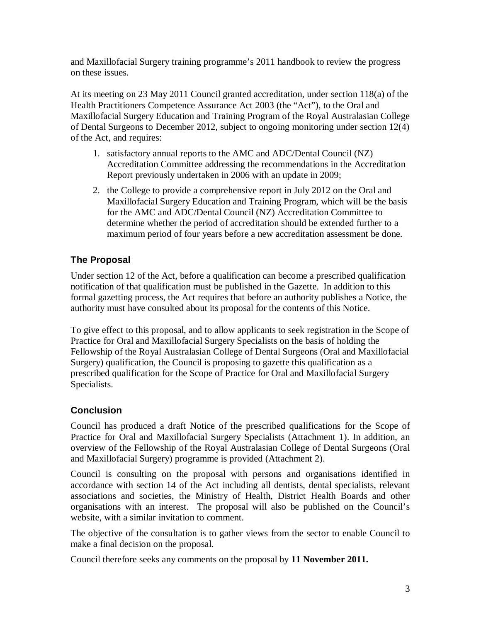and Maxillofacial Surgery training programme's 2011 handbook to review the progress on these issues.

At its meeting on 23 May 2011 Council granted accreditation, under section 118(a) of the Health Practitioners Competence Assurance Act 2003 (the "Act"), to the Oral and Maxillofacial Surgery Education and Training Program of the Royal Australasian College of Dental Surgeons to December 2012, subject to ongoing monitoring under section 12(4) of the Act, and requires:

- 1. satisfactory annual reports to the AMC and ADC/Dental Council (NZ) Accreditation Committee addressing the recommendations in the Accreditation Report previously undertaken in 2006 with an update in 2009;
- 2. the College to provide a comprehensive report in July 2012 on the Oral and Maxillofacial Surgery Education and Training Program, which will be the basis for the AMC and ADC/Dental Council (NZ) Accreditation Committee to determine whether the period of accreditation should be extended further to a maximum period of four years before a new accreditation assessment be done.

#### **The Proposal**

Under section 12 of the Act, before a qualification can become a prescribed qualification notification of that qualification must be published in the Gazette. In addition to this formal gazetting process, the Act requires that before an authority publishes a Notice, the authority must have consulted about its proposal for the contents of this Notice.

To give effect to this proposal, and to allow applicants to seek registration in the Scope of Practice for Oral and Maxillofacial Surgery Specialists on the basis of holding the Fellowship of the Royal Australasian College of Dental Surgeons (Oral and Maxillofacial Surgery) qualification, the Council is proposing to gazette this qualification as a prescribed qualification for the Scope of Practice for Oral and Maxillofacial Surgery Specialists.

#### **Conclusion**

Council has produced a draft Notice of the prescribed qualifications for the Scope of Practice for Oral and Maxillofacial Surgery Specialists (Attachment 1). In addition, an overview of the Fellowship of the Royal Australasian College of Dental Surgeons (Oral and Maxillofacial Surgery) programme is provided (Attachment 2).

Council is consulting on the proposal with persons and organisations identified in accordance with section 14 of the Act including all dentists, dental specialists, relevant associations and societies, the Ministry of Health, District Health Boards and other organisations with an interest. The proposal will also be published on the Council's website, with a similar invitation to comment.

The objective of the consultation is to gather views from the sector to enable Council to make a final decision on the proposal.

Council therefore seeks any comments on the proposal by **11 November 2011.**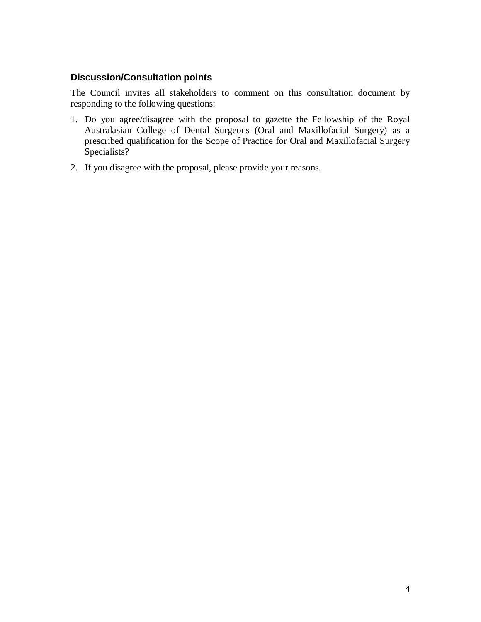#### **Discussion/Consultation points**

The Council invites all stakeholders to comment on this consultation document by responding to the following questions:

- 1. Do you agree/disagree with the proposal to gazette the Fellowship of the Royal Australasian College of Dental Surgeons (Oral and Maxillofacial Surgery) as a prescribed qualification for the Scope of Practice for Oral and Maxillofacial Surgery Specialists?
- 2. If you disagree with the proposal, please provide your reasons.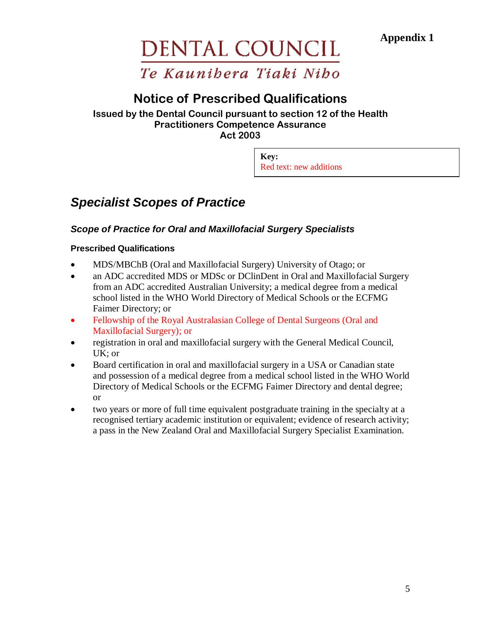**Appendix 1** 

# DENTAL COUNCIL

# Te Kaunibera Tiaki Nibo

# Notice of Prescribed Qualifications

#### Issued by the Dental Council pursuant to section 12 of the Health Practitioners Competence Assurance Act 2003

**Key:** Red text: new additions

# **Specialist Scopes of Practice**

#### **Scope of Practice for Oral and Maxillofacial Surgery Specialists**

#### **Prescribed Qualifications**

- MDS/MBChB (Oral and Maxillofacial Surgery) University of Otago; or
- an ADC accredited MDS or MDSc or DClinDent in Oral and Maxillofacial Surgery from an ADC accredited Australian University; a medical degree from a medical school listed in the WHO World Directory of Medical Schools or the ECFMG Faimer Directory; or
- Fellowship of the Royal Australasian College of Dental Surgeons (Oral and Maxillofacial Surgery); or
- registration in oral and maxillofacial surgery with the General Medical Council, UK; or
- Board certification in oral and maxillofacial surgery in a USA or Canadian state and possession of a medical degree from a medical school listed in the WHO World Directory of Medical Schools or the ECFMG Faimer Directory and dental degree; or
- two years or more of full time equivalent postgraduate training in the specialty at a recognised tertiary academic institution or equivalent; evidence of research activity; a pass in the New Zealand Oral and Maxillofacial Surgery Specialist Examination.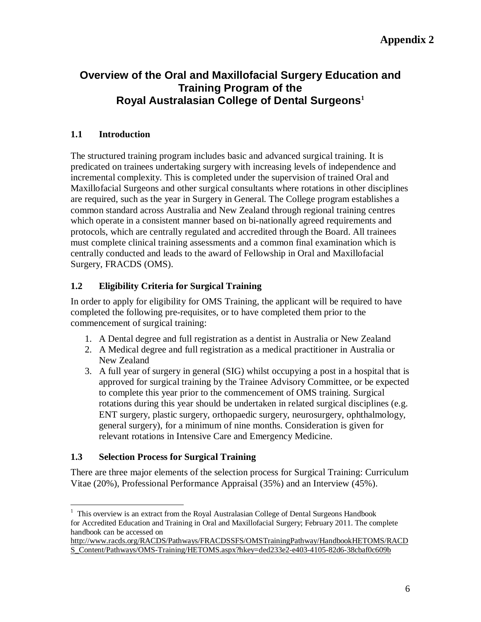#### **Overview of the Oral and Maxillofacial Surgery Education and Training Program of the Royal Australasian College of Dental Surgeons<sup>1</sup>**

#### **1.1 Introduction**

The structured training program includes basic and advanced surgical training. It is predicated on trainees undertaking surgery with increasing levels of independence and incremental complexity. This is completed under the supervision of trained Oral and Maxillofacial Surgeons and other surgical consultants where rotations in other disciplines are required, such as the year in Surgery in General. The College program establishes a common standard across Australia and New Zealand through regional training centres which operate in a consistent manner based on bi-nationally agreed requirements and protocols, which are centrally regulated and accredited through the Board. All trainees must complete clinical training assessments and a common final examination which is centrally conducted and leads to the award of Fellowship in Oral and Maxillofacial Surgery, FRACDS (OMS).

#### **1.2 Eligibility Criteria for Surgical Training**

In order to apply for eligibility for OMS Training, the applicant will be required to have completed the following pre-requisites, or to have completed them prior to the commencement of surgical training:

- 1. A Dental degree and full registration as a dentist in Australia or New Zealand
- 2. A Medical degree and full registration as a medical practitioner in Australia or New Zealand
- 3. A full year of surgery in general (SIG) whilst occupying a post in a hospital that is approved for surgical training by the Trainee Advisory Committee, or be expected to complete this year prior to the commencement of OMS training. Surgical rotations during this year should be undertaken in related surgical disciplines (e.g. ENT surgery, plastic surgery, orthopaedic surgery, neurosurgery, ophthalmology, general surgery), for a minimum of nine months. Consideration is given for relevant rotations in Intensive Care and Emergency Medicine.

#### **1.3 Selection Process for Surgical Training**

<u>.</u>

There are three major elements of the selection process for Surgical Training: Curriculum Vitae (20%), Professional Performance Appraisal (35%) and an Interview (45%).

 $1$  This overview is an extract from the Royal Australasian College of Dental Surgeons Handbook for Accredited Education and Training in Oral and Maxillofacial Surgery; February 2011. The complete handbook can be accessed on

http://www.racds.org/RACDS/Pathways/FRACDSSFS/OMSTrainingPathway/HandbookHETOMS/RACD S\_Content/Pathways/OMS-Training/HETOMS.aspx?hkey=ded233e2-e403-4105-82d6-38cbaf0c609b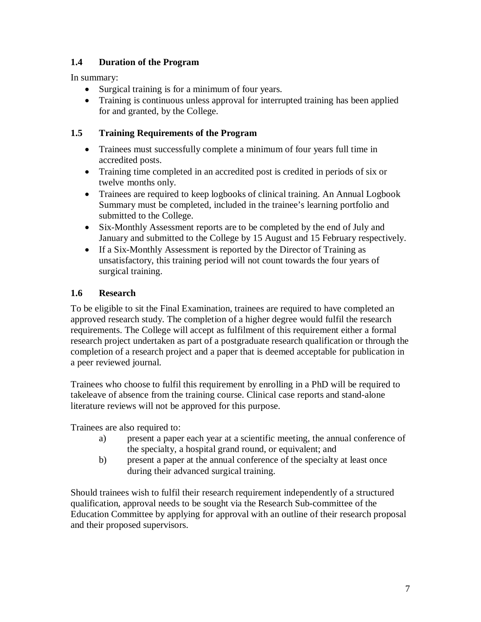#### **1.4 Duration of the Program**

In summary:

- Surgical training is for a minimum of four years.
- Training is continuous unless approval for interrupted training has been applied for and granted, by the College.

#### **1.5 Training Requirements of the Program**

- Trainees must successfully complete a minimum of four years full time in accredited posts.
- Training time completed in an accredited post is credited in periods of six or twelve months only.
- Trainees are required to keep logbooks of clinical training. An Annual Logbook Summary must be completed, included in the trainee's learning portfolio and submitted to the College.
- Six-Monthly Assessment reports are to be completed by the end of July and January and submitted to the College by 15 August and 15 February respectively.
- If a Six-Monthly Assessment is reported by the Director of Training as unsatisfactory, this training period will not count towards the four years of surgical training.

#### **1.6 Research**

To be eligible to sit the Final Examination, trainees are required to have completed an approved research study. The completion of a higher degree would fulfil the research requirements. The College will accept as fulfilment of this requirement either a formal research project undertaken as part of a postgraduate research qualification or through the completion of a research project and a paper that is deemed acceptable for publication in a peer reviewed journal.

Trainees who choose to fulfil this requirement by enrolling in a PhD will be required to takeleave of absence from the training course. Clinical case reports and stand-alone literature reviews will not be approved for this purpose.

Trainees are also required to:

- a) present a paper each year at a scientific meeting, the annual conference of the specialty, a hospital grand round, or equivalent; and
- b) present a paper at the annual conference of the specialty at least once during their advanced surgical training.

Should trainees wish to fulfil their research requirement independently of a structured qualification, approval needs to be sought via the Research Sub-committee of the Education Committee by applying for approval with an outline of their research proposal and their proposed supervisors.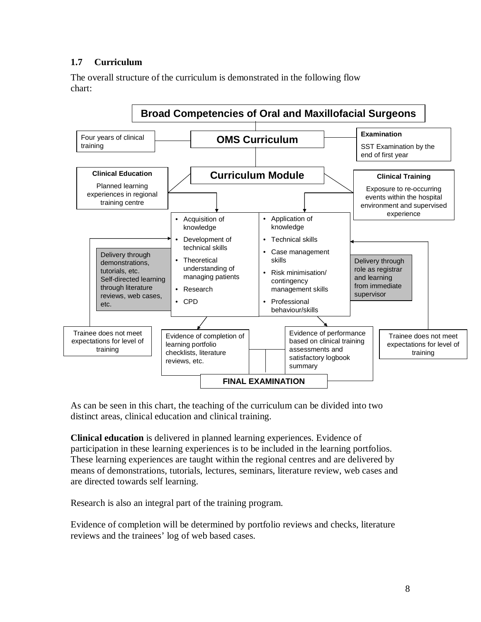#### **1.7 Curriculum**

The overall structure of the curriculum is demonstrated in the following flow chart:



As can be seen in this chart, the teaching of the curriculum can be divided into two distinct areas, clinical education and clinical training.

**Clinical education** is delivered in planned learning experiences. Evidence of participation in these learning experiences is to be included in the learning portfolios. These learning experiences are taught within the regional centres and are delivered by means of demonstrations, tutorials, lectures, seminars, literature review, web cases and are directed towards self learning.

Research is also an integral part of the training program.

Evidence of completion will be determined by portfolio reviews and checks, literature reviews and the trainees' log of web based cases.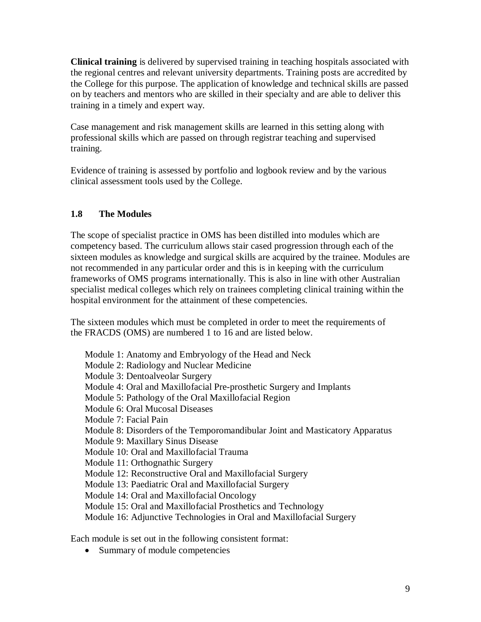**Clinical training** is delivered by supervised training in teaching hospitals associated with the regional centres and relevant university departments. Training posts are accredited by the College for this purpose. The application of knowledge and technical skills are passed on by teachers and mentors who are skilled in their specialty and are able to deliver this training in a timely and expert way.

Case management and risk management skills are learned in this setting along with professional skills which are passed on through registrar teaching and supervised training.

Evidence of training is assessed by portfolio and logbook review and by the various clinical assessment tools used by the College.

#### **1.8 The Modules**

The scope of specialist practice in OMS has been distilled into modules which are competency based. The curriculum allows stair cased progression through each of the sixteen modules as knowledge and surgical skills are acquired by the trainee. Modules are not recommended in any particular order and this is in keeping with the curriculum frameworks of OMS programs internationally. This is also in line with other Australian specialist medical colleges which rely on trainees completing clinical training within the hospital environment for the attainment of these competencies.

The sixteen modules which must be completed in order to meet the requirements of the FRACDS (OMS) are numbered 1 to 16 and are listed below.

Module 1: Anatomy and Embryology of the Head and Neck Module 2: Radiology and Nuclear Medicine Module 3: Dentoalveolar Surgery Module 4: Oral and Maxillofacial Pre-prosthetic Surgery and Implants Module 5: Pathology of the Oral Maxillofacial Region Module 6: Oral Mucosal Diseases Module 7: Facial Pain Module 8: Disorders of the Temporomandibular Joint and Masticatory Apparatus Module 9: Maxillary Sinus Disease Module 10: Oral and Maxillofacial Trauma Module 11: Orthognathic Surgery Module 12: Reconstructive Oral and Maxillofacial Surgery Module 13: Paediatric Oral and Maxillofacial Surgery Module 14: Oral and Maxillofacial Oncology Module 15: Oral and Maxillofacial Prosthetics and Technology Module 16: Adjunctive Technologies in Oral and Maxillofacial Surgery

Each module is set out in the following consistent format:

• Summary of module competencies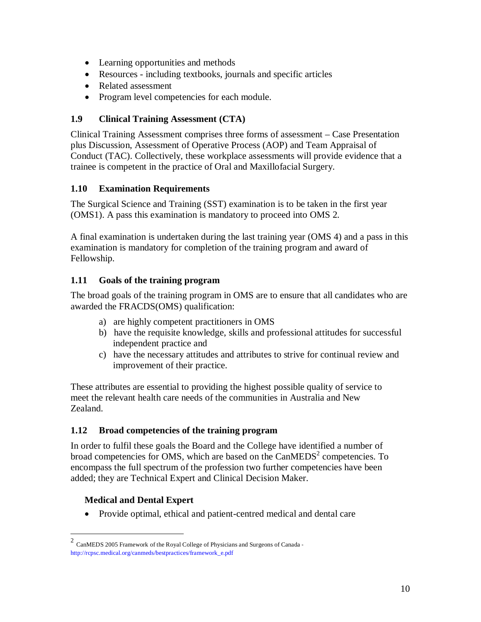- Learning opportunities and methods
- Resources including textbooks, journals and specific articles
- Related assessment
- Program level competencies for each module.

#### **1.9 Clinical Training Assessment (CTA)**

Clinical Training Assessment comprises three forms of assessment – Case Presentation plus Discussion, Assessment of Operative Process (AOP) and Team Appraisal of Conduct (TAC). Collectively, these workplace assessments will provide evidence that a trainee is competent in the practice of Oral and Maxillofacial Surgery.

#### **1.10 Examination Requirements**

The Surgical Science and Training (SST) examination is to be taken in the first year (OMS1). A pass this examination is mandatory to proceed into OMS 2.

A final examination is undertaken during the last training year (OMS 4) and a pass in this examination is mandatory for completion of the training program and award of Fellowship.

#### **1.11 Goals of the training program**

The broad goals of the training program in OMS are to ensure that all candidates who are awarded the FRACDS(OMS) qualification:

- a) are highly competent practitioners in OMS
- b) have the requisite knowledge, skills and professional attitudes for successful independent practice and
- c) have the necessary attitudes and attributes to strive for continual review and improvement of their practice.

These attributes are essential to providing the highest possible quality of service to meet the relevant health care needs of the communities in Australia and New Zealand.

#### **1.12 Broad competencies of the training program**

In order to fulfil these goals the Board and the College have identified a number of broad competencies for OMS, which are based on the  $CanMEDS<sup>2</sup>$  competencies. To encompass the full spectrum of the profession two further competencies have been added; they are Technical Expert and Clinical Decision Maker.

#### **Medical and Dental Expert**

• Provide optimal, ethical and patient-centred medical and dental care

 $\frac{1}{2}$ CanMEDS 2005 Framework of the Royal College of Physicians and Surgeons of Canada ‐ http://rcpsc.medical.org/canmeds/bestpractices/framework\_e.pdf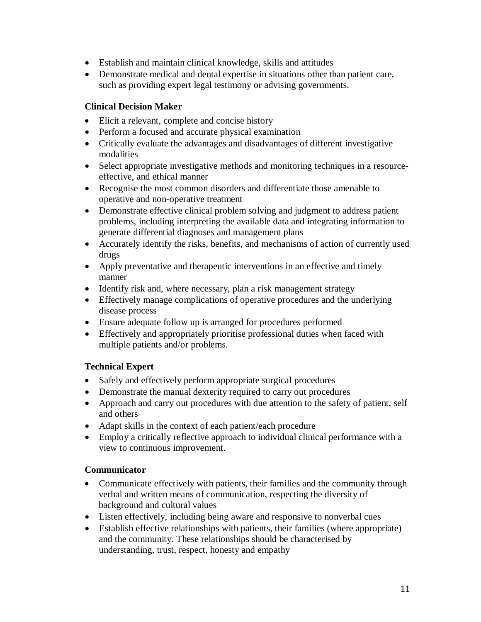- Establish and maintain clinical knowledge, skills and attitudes
- Demonstrate medical and dental expertise in situations other than patient care, such as providing expert legal testimony or advising governments.

#### **Clinical Decision Maker**

- Elicit a relevant, complete and concise history
- Perform a focused and accurate physical examination
- Critically evaluate the advantages and disadvantages of different investigative modalities
- Select appropriate investigative methods and monitoring techniques in a resourceeffective, and ethical manner
- Recognise the most common disorders and differentiate those amenable to operative and non-operative treatment
- Demonstrate effective clinical problem solving and judgment to address patient problems, including interpreting the available data and integrating information to generate differential diagnoses and management plans
- Accurately identify the risks, benefits, and mechanisms of action of currently used drugs
- Apply preventative and therapeutic interventions in an effective and timely manner
- Identify risk and, where necessary, plan a risk management strategy
- Effectively manage complications of operative procedures and the underlying disease process
- Ensure adequate follow up is arranged for procedures performed
- Effectively and appropriately prioritise professional duties when faced with multiple patients and/or problems.

#### **Technical Expert**

- Safely and effectively perform appropriate surgical procedures
- Demonstrate the manual dexterity required to carry out procedures
- Approach and carry out procedures with due attention to the safety of patient, self and others
- Adapt skills in the context of each patient/each procedure
- Employ a critically reflective approach to individual clinical performance with a view to continuous improvement.

#### **Communicator**

- Communicate effectively with patients, their families and the community through verbal and written means of communication, respecting the diversity of background and cultural values
- Listen effectively, including being aware and responsive to nonverbal cues
- Establish effective relationships with patients, their families (where appropriate) and the community. These relationships should be characterised by understanding, trust, respect, honesty and empathy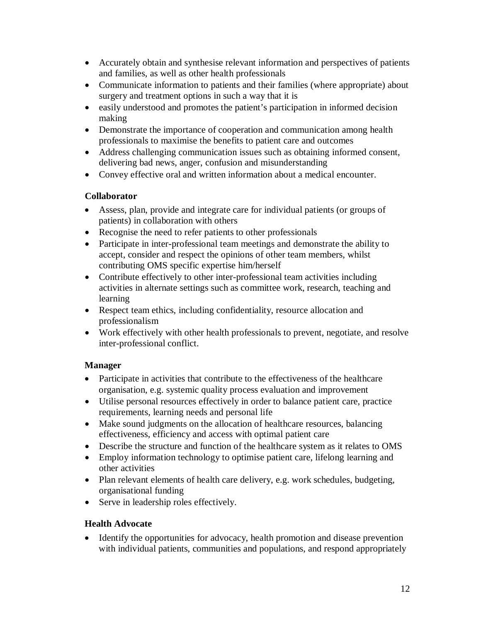- Accurately obtain and synthesise relevant information and perspectives of patients and families, as well as other health professionals
- Communicate information to patients and their families (where appropriate) about surgery and treatment options in such a way that it is
- easily understood and promotes the patient's participation in informed decision making
- Demonstrate the importance of cooperation and communication among health professionals to maximise the benefits to patient care and outcomes
- Address challenging communication issues such as obtaining informed consent, delivering bad news, anger, confusion and misunderstanding
- Convey effective oral and written information about a medical encounter.

#### **Collaborator**

- Assess, plan, provide and integrate care for individual patients (or groups of patients) in collaboration with others
- Recognise the need to refer patients to other professionals
- Participate in inter-professional team meetings and demonstrate the ability to accept, consider and respect the opinions of other team members, whilst contributing OMS specific expertise him/herself
- Contribute effectively to other inter-professional team activities including activities in alternate settings such as committee work, research, teaching and learning
- Respect team ethics, including confidentiality, resource allocation and professionalism
- Work effectively with other health professionals to prevent, negotiate, and resolve inter-professional conflict.

#### **Manager**

- Participate in activities that contribute to the effectiveness of the healthcare organisation, e.g. systemic quality process evaluation and improvement
- Utilise personal resources effectively in order to balance patient care, practice requirements, learning needs and personal life
- Make sound judgments on the allocation of healthcare resources, balancing effectiveness, efficiency and access with optimal patient care
- Describe the structure and function of the healthcare system as it relates to OMS
- Employ information technology to optimise patient care, lifelong learning and other activities
- Plan relevant elements of health care delivery, e.g. work schedules, budgeting, organisational funding
- Serve in leadership roles effectively.

#### **Health Advocate**

• Identify the opportunities for advocacy, health promotion and disease prevention with individual patients, communities and populations, and respond appropriately